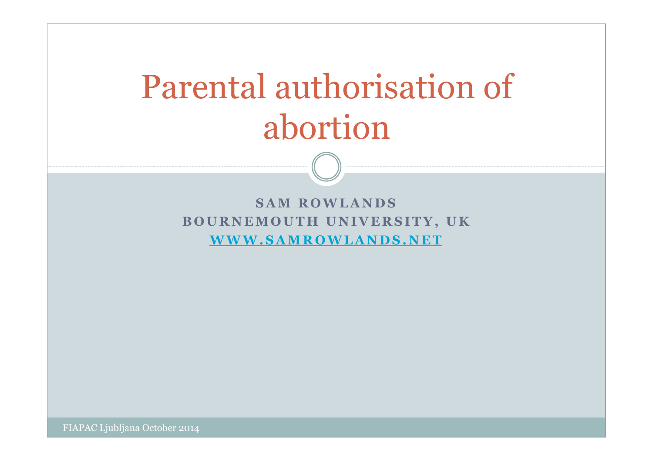# Parental authorisation of abortion

**SAM ROWLANDS BOURNEMOUTH UNIVERSITY, UK WWW.SAMROWLANDS.NET** 

FIAPAC Ljubljana October 2014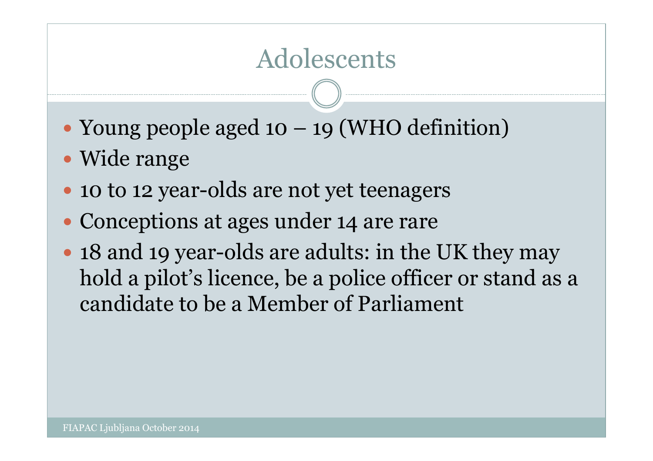### Adolescents

- Young people aged 10 19 (WHO definition)
- Wide range
- 10 to 12 year-olds are not yet teenagers
- Conceptions at ages under 14 are rare
- 18 and 19 year-olds are adults: in the UK they may hold a pilot's licence, be a police officer or stand as a candidate to be a Member of Parliament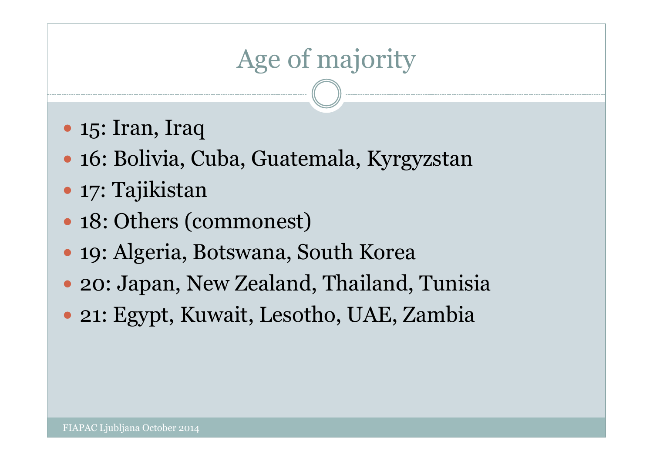# Age of majority

- 15: Iran, Iraq
- 16: Bolivia, Cuba, Guatemala, Kyrgyzstan
- 17: Tajikistan
- 18: Others (commonest)
- 19: Algeria, Botswana, South Korea
- 20: Japan, New Zealand, Thailand, Tunisia
- 21: Egypt, Kuwait, Lesotho, UAE, Zambia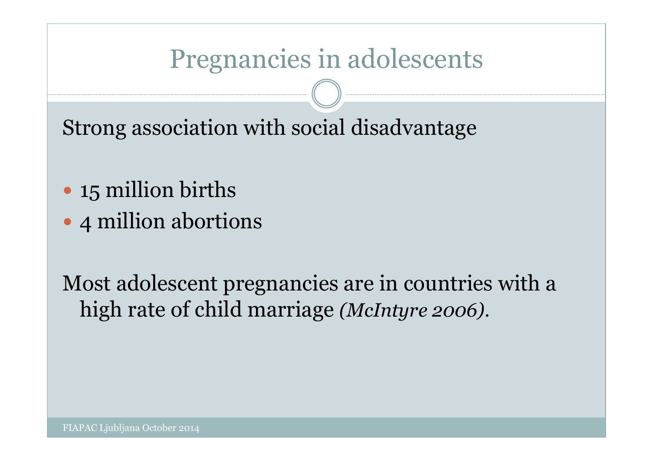### Pregnancies in adolescents

Strong association with social disadvantage

- 15 million births
- 4 million abortions

Most adolescent pregnancies are in countries with a high rate of child marriage *(McIntyre 2006)*.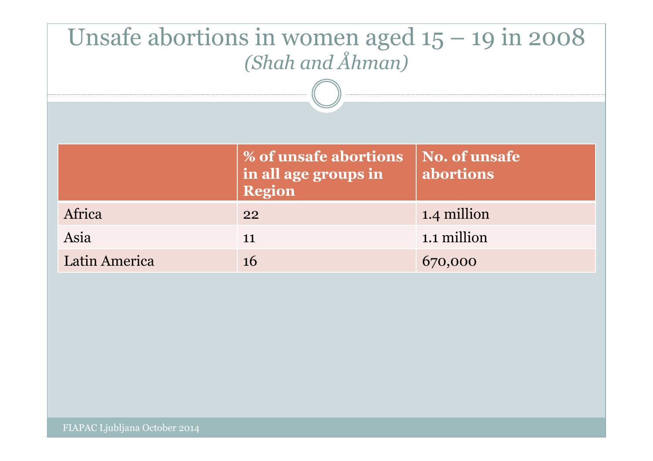| Unsafe abortions in women aged $15 - 19$ in 2008 |                                               |                                   |
|--------------------------------------------------|-----------------------------------------------|-----------------------------------|
| (Shah and Åhman)                                 |                                               |                                   |
|                                                  |                                               |                                   |
|                                                  |                                               |                                   |
|                                                  |                                               |                                   |
|                                                  | % of unsafe abortions<br>in all age groups in | <b>No. of unsafe</b><br>abortions |
|                                                  | <b>Region</b>                                 |                                   |
| Africa                                           | 22                                            | 1.4 million                       |
| Asia                                             |                                               |                                   |
|                                                  | 11                                            | 1.1 million                       |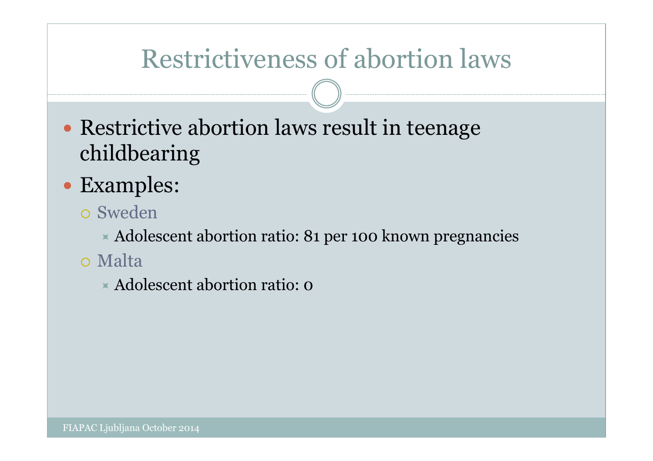### Restrictiveness of abortion laws

- Restrictive abortion laws result in teenage childbearing
- Examples:
	- Sweden

Adolescent abortion ratio: 81 per 100 known pregnancies

Malta

Adolescent abortion ratio: 0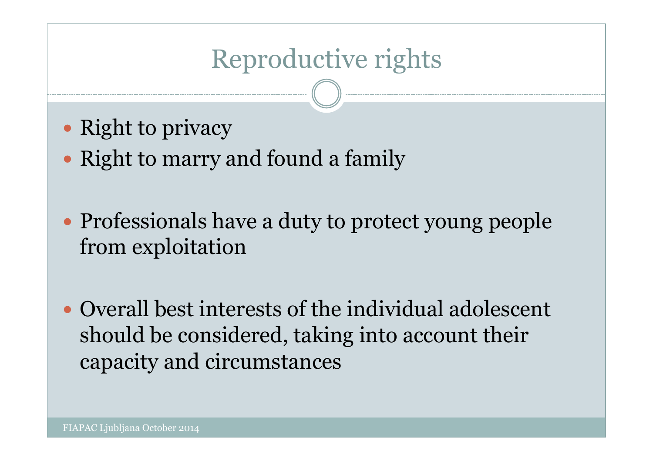# Reproductive rights

- Right to privacy
- Right to marry and found a family
- Professionals have a duty to protect young people from exploitation
- Overall best interests of the individual adolescent should be considered, taking into account their capacity and circumstances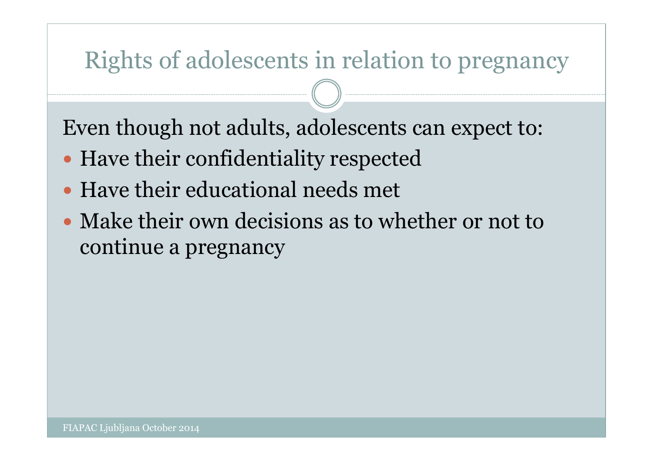### Rights of adolescents in relation to pregnancy

Even though not adults, adolescents can expect to:

- Have their confidentiality respected
- Have their educational needs met
- Make their own decisions as to whether or not to continue a pregnancy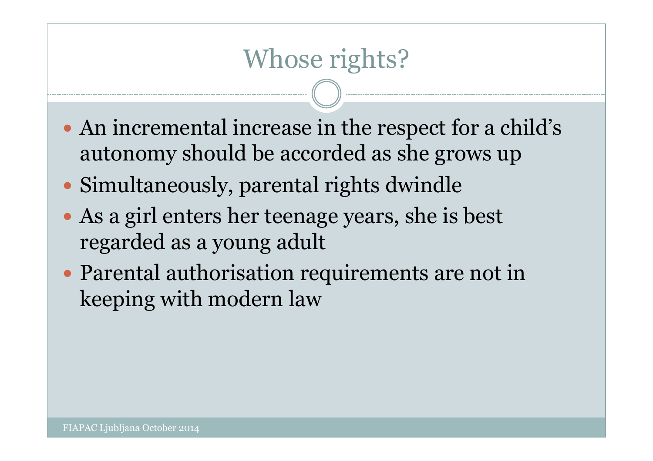# Whose rights?

- An incremental increase in the respect for a child's autonomy should be accorded as she grows up
- Simultaneously, parental rights dwindle
- As a girl enters her teenage years, she is best regarded as a young adult
- Parental authorisation requirements are not in keeping with modern law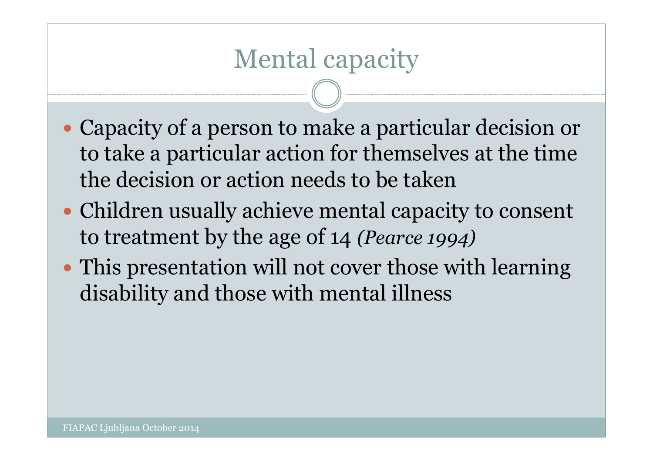### Mental capacity

- Capacity of a person to make a particular decision or to take a particular action for themselves at the time the decision or action needs to be taken
- Children usually achieve mental capacity to consent to treatment by the age of 14 *(Pearce 1994)*
- This presentation will not cover those with learning disability and those with mental illness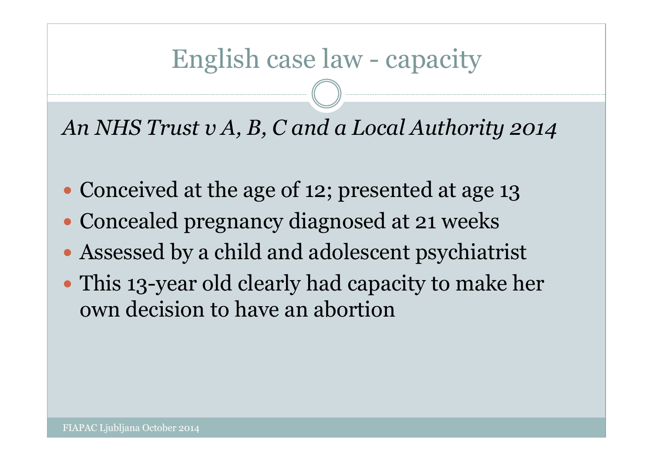### English case law - capacity

*An NHS Trust v A, B, C and a Local Authority 2014* 

- Conceived at the age of 12; presented at age 13
- Concealed pregnancy diagnosed at 21 weeks
- Assessed by a child and adolescent psychiatrist
- This 13-year old clearly had capacity to make her own decision to have an abortion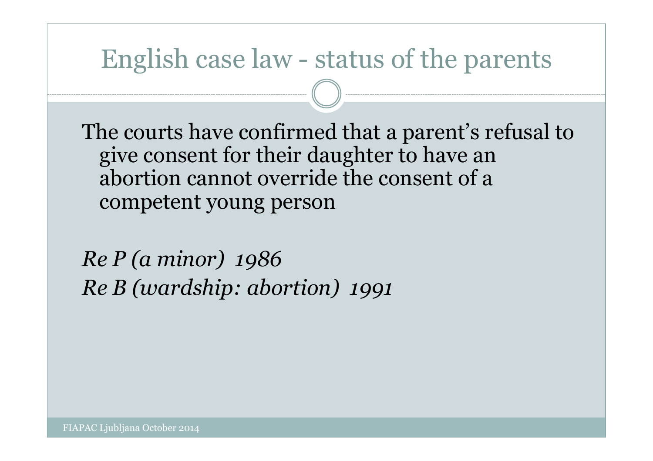### English case law - status of the parents

The courts have confirmed that a parent's refusal to give consent for their daughter to have an abortion cannot override the consent of a competent young person

*Re P (a minor) 1986 Re B (wardship: abortion) 1991*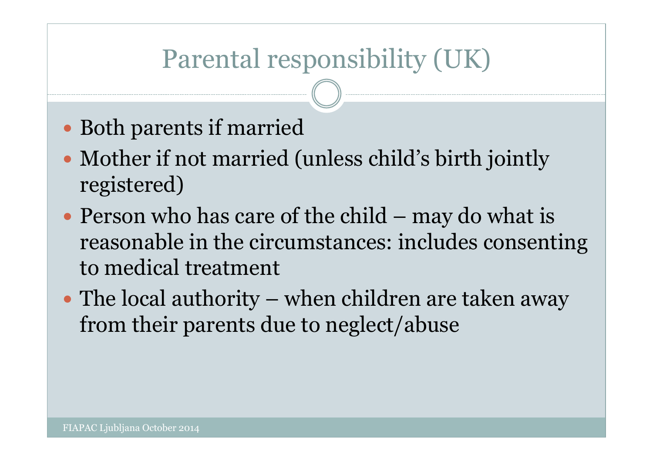# Parental responsibility (UK)

- Both parents if married
- Mother if not married (unless child's birth jointly registered)
- Person who has care of the child may do what is reasonable in the circumstances: includes consenting to medical treatment
- The local authority when children are taken away from their parents due to neglect/abuse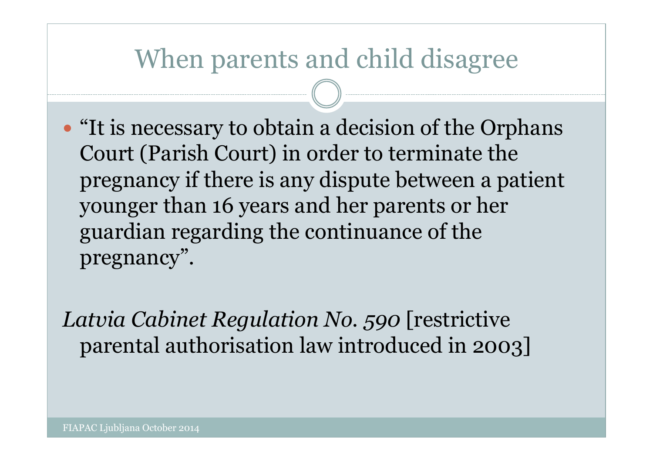### When parents and child disagree

 "It is necessary to obtain a decision of the Orphans Court (Parish Court) in order to terminate the pregnancy if there is any dispute between a patient younger than 16 years and her parents or her guardian regarding the continuance of the pregnancy".

*Latvia Cabinet Regulation No. 590* [restrictive parental authorisation law introduced in 2003]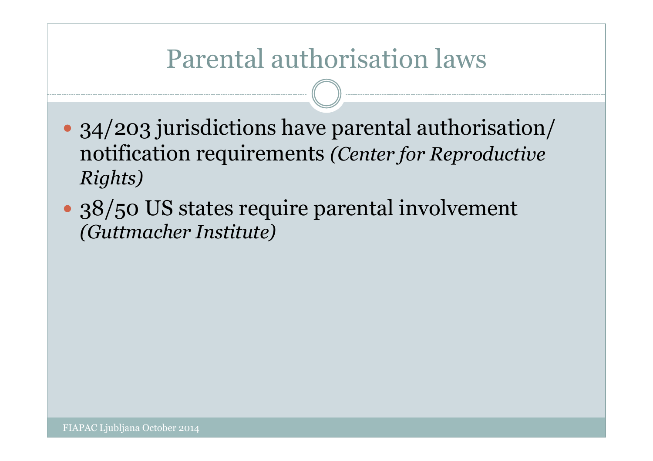### Parental authorisation laws

- 34/203 jurisdictions have parental authorisation/ notification requirements *(Center for Reproductive Rights)*
- 38/50 US states require parental involvement *(Guttmacher Institute)*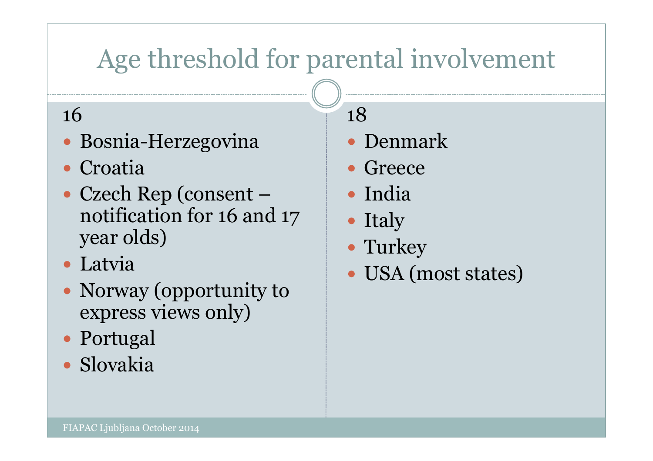# Age threshold for parental involvement

#### 16

- Bosnia-Herzegovina
- Croatia
- Czech Rep (consent notification for 16 and 17 year olds)
- Latvia
- Norway (opportunity to express views only)
- Portugal
- Slovakia

18

- Denmark
- Greece
- India
- Italy
- Turkey
- USA (most states)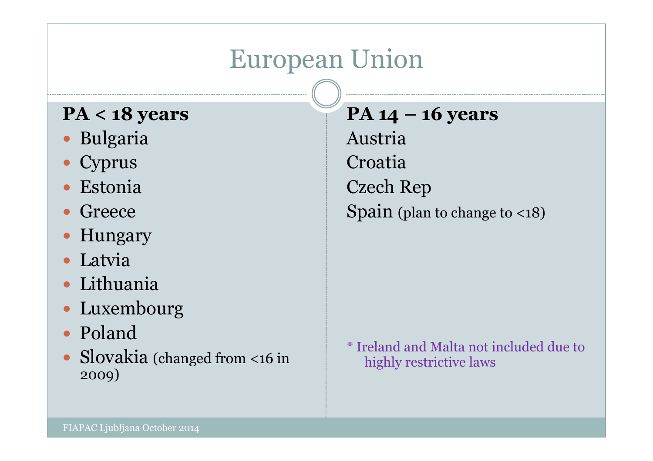## European Union

#### **PA < 18 years**

- Bulgaria
- Cyprus
- Estonia
- Greece
- Hungary
- Latvia
- Lithuania
- Luxembourg
- Poland
- Slovakia (changed from <16 in 2009)

**PA 14 – 16 years**  Austria Croatia Czech Rep Spain (plan to change to <18)

\* Ireland and Malta not included due to highly restrictive laws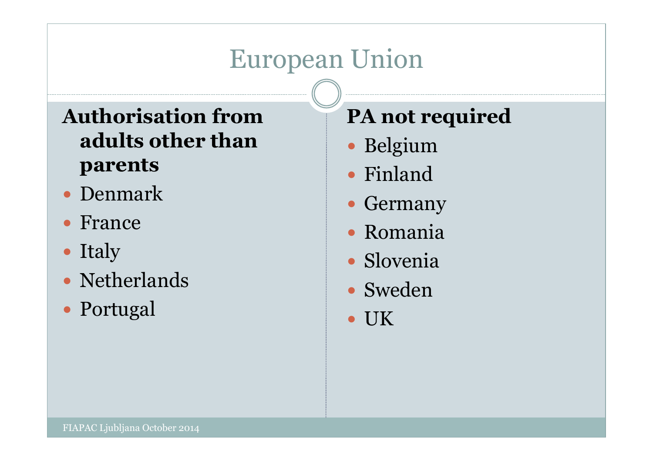# European Union

#### **Authorisation from adults other than parents**

- Denmark
- France
- Italy
- Netherlands
- Portugal

#### **PA not required**

- Belgium
- Finland
- Germany
- Romania
- Slovenia
- Sweden
- UK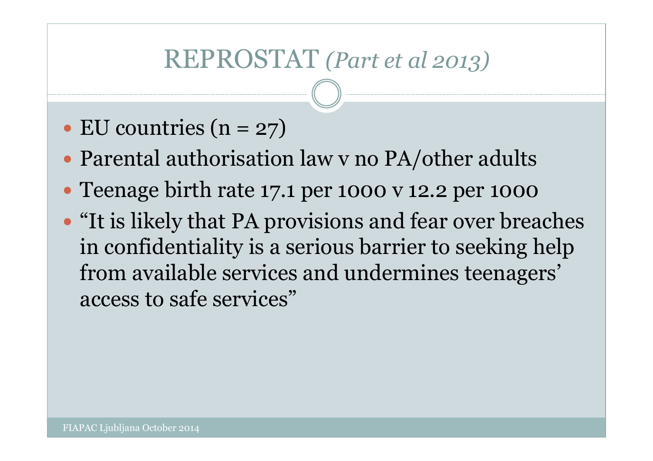### REPROSTAT *(Part et al 2013)*

- $\bullet$  EU countries (n = 27)
- Parental authorisation law v no PA/other adults
- Teenage birth rate 17.1 per 1000 v 12.2 per 1000
- "It is likely that PA provisions and fear over breaches in confidentiality is a serious barrier to seeking help from available services and undermines teenagers' access to safe services"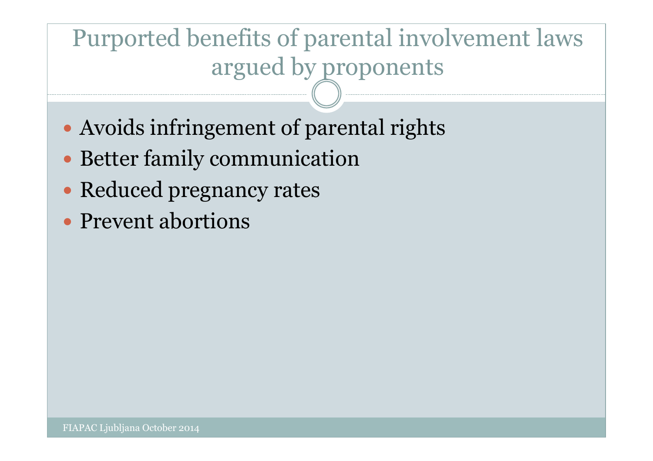### Purported benefits of parental involvement laws argued by proponents

- Avoids infringement of parental rights
- Better family communication
- Reduced pregnancy rates
- Prevent abortions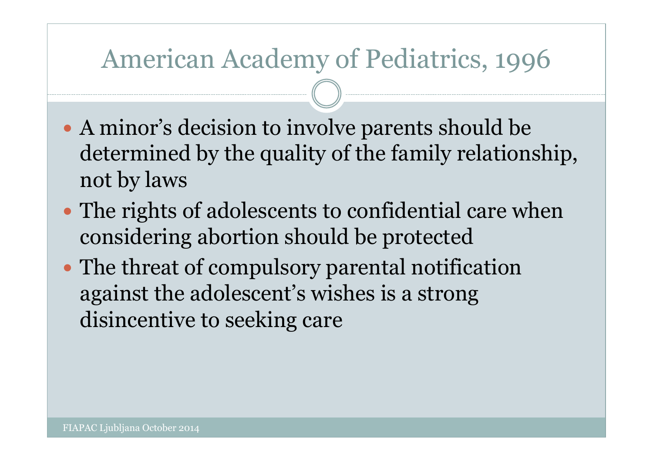### American Academy of Pediatrics, 1996

- A minor's decision to involve parents should be determined by the quality of the family relationship, not by laws
- The rights of adolescents to confidential care when considering abortion should be protected
- The threat of compulsory parental notification against the adolescent's wishes is a strong disincentive to seeking care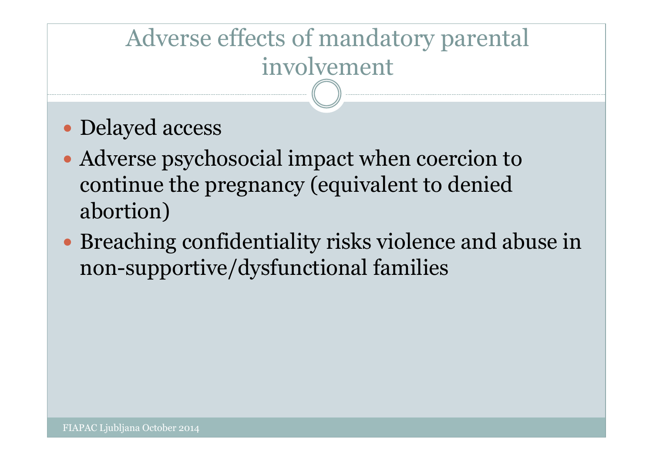# Adverse effects of mandatory parental involvement

- Delayed access
- Adverse psychosocial impact when coercion to continue the pregnancy (equivalent to denied abortion)
- Breaching confidentiality risks violence and abuse in non-supportive/dysfunctional families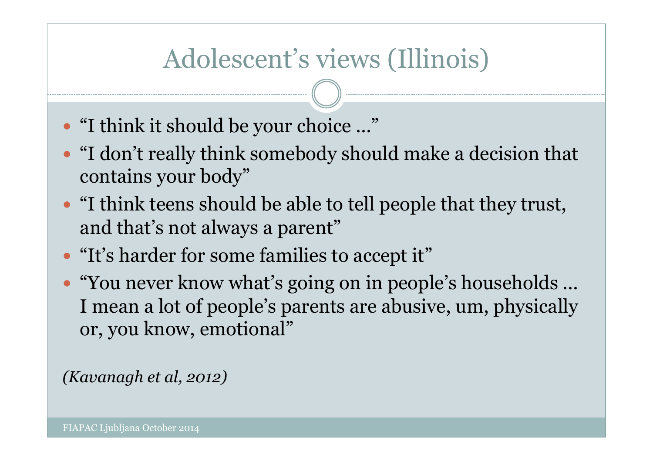# Adolescent's views (Illinois)

- "I think it should be your choice ..."
- "I don't really think somebody should make a decision that contains your body"
- "I think teens should be able to tell people that they trust, and that's not always a parent"
- "It's harder for some families to accept it"
- "You never know what's going on in people's households ... I mean a lot of people's parents are abusive, um, physically or, you know, emotional"

*(Kavanagh et al, 2012)*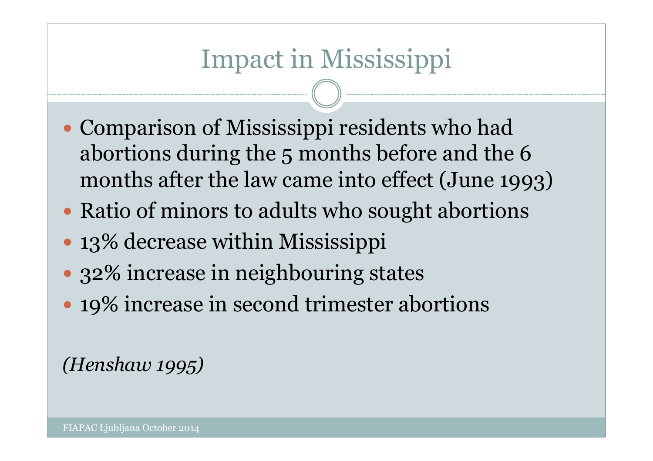# Impact in Mississippi

- Comparison of Mississippi residents who had abortions during the 5 months before and the 6 months after the law came into effect (June 1993)
- Ratio of minors to adults who sought abortions
- 13% decrease within Mississippi
- 32% increase in neighbouring states
- 19% increase in second trimester abortions

#### *(Henshaw 1995)*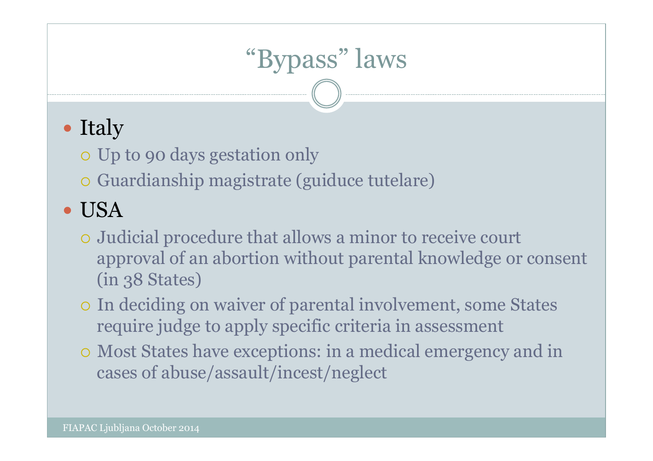# "Bypass" laws

### • Italy

- Up to 90 days gestation only
- Guardianship magistrate (guiduce tutelare)

### USA

- Judicial procedure that allows a minor to receive court approval of an abortion without parental knowledge or consent (in 38 States)
- In deciding on waiver of parental involvement, some States require judge to apply specific criteria in assessment
- Most States have exceptions: in a medical emergency and in cases of abuse/assault/incest/neglect